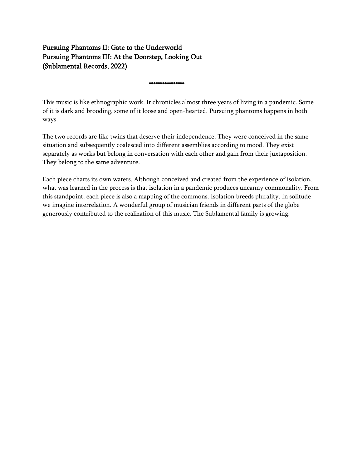# Pursuing Phantoms II: Gate to the Underworld Pursuing Phantoms IIΙ: At the Doorstep, Looking Out (Sublamental Records, 2022)

\*\*\*\*\*\*\*\*\*\*\*\*\*\*\*\*

This music is like ethnographic work. It chronicles almost three years of living in a pandemic. Some of it is dark and brooding, some of it loose and open-hearted. Pursuing phantoms happens in both ways.

The two records are like twins that deserve their independence. They were conceived in the same situation and subsequently coalesced into different assemblies according to mood. They exist separately as works but belong in conversation with each other and gain from their juxtaposition. They belong to the same adventure.

Each piece charts its own waters. Although conceived and created from the experience of isolation, what was learned in the process is that isolation in a pandemic produces uncanny commonality. From this standpoint, each piece is also a mapping of the commons. Isolation breeds plurality. In solitude we imagine interrelation. A wonderful group of musician friends in different parts of the globe generously contributed to the realization of this music. The Sublamental family is growing.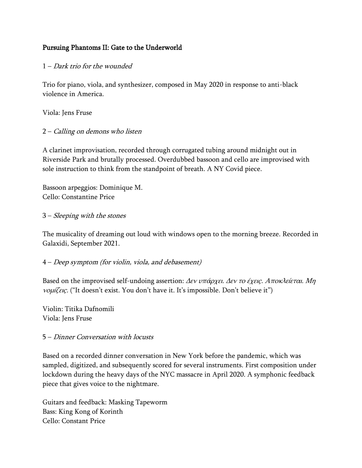## Pursuing Phantoms II: Gate to the Underworld

#### 1 – Dark trio for the wounded

Trio for piano, viola, and synthesizer, composed in May 2020 in response to anti-black violence in America.

Viola: Jens Fruse

#### 2 – Calling on demons who listen

A clarinet improvisation, recorded through corrugated tubing around midnight out in Riverside Park and brutally processed. Overdubbed bassoon and cello are improvised with sole instruction to think from the standpoint of breath. A NY Covid piece.

Bassoon arpeggios: Dominique M. Cello: Constantine Price

#### 3 – Sleeping with the stones

The musicality of dreaming out loud with windows open to the morning breeze. Recorded in Galaxidi, September 2021.

#### 4 – Deep symptom (for violin, viola, and debasement)

Based on the improvised self-undoing assertion:  $\Delta \epsilon v \nu \pi \dot{\alpha} \rho \chi \epsilon \mu$ .  $\Delta \epsilon v \tau \dot{\alpha} \epsilon \chi \epsilon \epsilon \rho \kappa \lambda \epsilon \epsilon \epsilon \tau \alpha \mu$ . Mn νομίζεις. ("It doesn't exist. You don't have it. It's impossible. Don't believe it")

Violin: Titika Dafnomili Viola: Jens Fruse

#### 5 – Dinner Conversation with locusts

Based on a recorded dinner conversation in New York before the pandemic, which was sampled, digitized, and subsequently scored for several instruments. First composition under lockdown during the heavy days of the NYC massacre in April 2020. A symphonic feedback piece that gives voice to the nightmare.

Guitars and feedback: Masking Tapeworm Bass: King Kong of Korinth Cello: Constant Price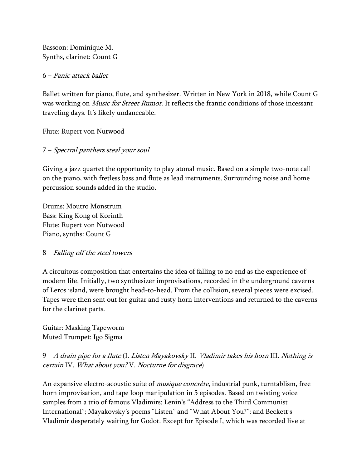Bassoon: Dominique M. Synths, clarinet: Count G

### 6 – Panic attack ballet

Ballet written for piano, flute, and synthesizer. Written in New York in 2018, while Count G was working on *Music for Street Rumor*. It reflects the frantic conditions of those incessant traveling days. It's likely undanceable.

Flute: Rupert von Nutwood

## 7 – Spectral panthers steal your soul

Giving a jazz quartet the opportunity to play atonal music. Based on a simple two-note call on the piano, with fretless bass and flute as lead instruments. Surrounding noise and home percussion sounds added in the studio.

Drums: Moutro Monstrum Bass: King Kong of Korinth Flute: Rupert von Nutwood Piano, synths: Count G

## 8 – Falling off the steel towers

A circuitous composition that entertains the idea of falling to no end as the experience of modern life. Initially, two synthesizer improvisations, recorded in the underground caverns of Leros island, were brought head-to-head. From the collision, several pieces were excised. Tapes were then sent out for guitar and rusty horn interventions and returned to the caverns for the clarinet parts.

Guitar: Masking Tapeworm Muted Trumpet: Igo Sigma

9 – A drain pipe for a flute (I. Listen Mayakovsky II. Vladimir takes his horn III. Nothing is certain IV. What about you? V. Nocturne for disgrace)

An expansive electro-acoustic suite of *musique concrète*, industrial punk, turntablism, free horn improvisation, and tape loop manipulation in 5 episodes. Based on twisting voice samples from a trio of famous Vladimirs: Lenin's "Address to the Third Communist International"; Mayakovsky's poems "Listen" and "What About You?"; and Beckett's Vladimir desperately waiting for Godot. Except for Episode I, which was recorded live at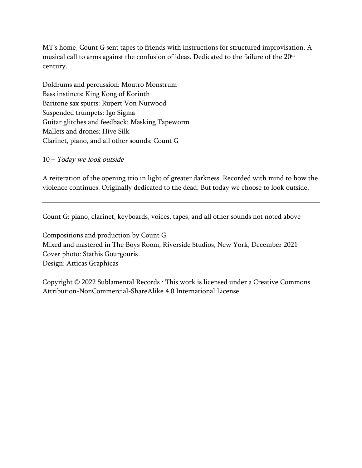MT's home, Count G sent tapes to friends with instructions for structured improvisation. A musical call to arms against the confusion of ideas. Dedicated to the failure of the 20<sup>th</sup> century.

Doldrums and percussion: Moutro Monstrum Bass instincts: King Kong of Korinth Baritone sax spurts: Rupert Von Nutwood Suspended trumpets: Igo Sigma Guitar glitches and feedback: Masking Tapeworm Mallets and drones: Hive Silk Clarinet, piano, and all other sounds: Count G

10 – Today we look outside

A reiteration of the opening trio in light of greater darkness. Recorded with mind to how the violence continues. Originally dedicated to the dead. But today we choose to look outside.

Count G: piano, clarinet, keyboards, voices, tapes, and all other sounds not noted above

Compositions and production by Count G Mixed and mastered in The Boys Room, Riverside Studios, New York, December 2021 Cover photo: Stathis Gourgouris Design: Atticas Graphicas

Copyright © 2022 Sublamental Records • This work is licensed under a Creative Commons Attribution-NonCommercial-ShareAlike 4.0 International License.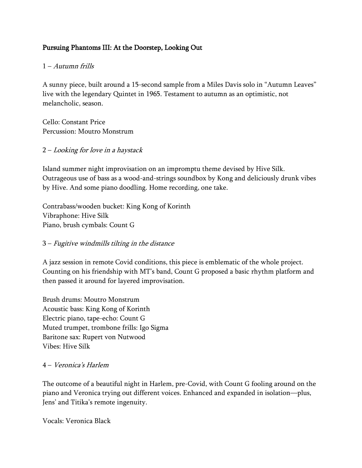## Pursuing Phantoms IIΙ: At the Doorstep, Looking Out

#### 1 – Autumn frills

A sunny piece, built around a 15-second sample from a Miles Davis solo in "Autumn Leaves" live with the legendary Quintet in 1965. Testament to autumn as an optimistic, not melancholic, season.

Cello: Constant Price Percussion: Moutro Monstrum

### 2 – Looking for love in a haystack

Island summer night improvisation on an impromptu theme devised by Hive Silk. Outrageous use of bass as a wood-and-strings soundbox by Kong and deliciously drunk vibes by Hive. And some piano doodling. Home recording, one take.

Contrabass/wooden bucket: King Kong of Korinth Vibraphone: Hive Silk Piano, brush cymbals: Count G

## 3 – Fugitive windmills tilting in the distance

A jazz session in remote Covid conditions, this piece is emblematic of the whole project. Counting on his friendship with MT's band, Count G proposed a basic rhythm platform and then passed it around for layered improvisation.

Brush drums: Moutro Monstrum Acoustic bass: King Kong of Korinth Electric piano, tape-echo: Count G Muted trumpet, trombone frills: Igo Sigma Baritone sax: Rupert von Nutwood Vibes: Hive Silk

#### 4 – Veronica's Harlem

The outcome of a beautiful night in Harlem, pre-Covid, with Count G fooling around on the piano and Veronica trying out different voices. Enhanced and expanded in isolation—plus, Jens' and Titika's remote ingenuity.

Vocals: Veronica Black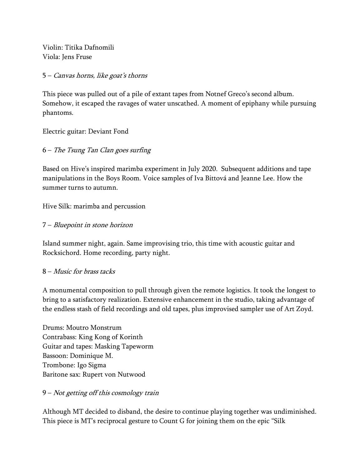Violin: Titika Dafnomili Viola: Jens Fruse

#### 5 – Canvas horns, like goat's thorns

This piece was pulled out of a pile of extant tapes from Notnef Greco's second album. Somehow, it escaped the ravages of water unscathed. A moment of epiphany while pursuing phantoms.

Electric guitar: Deviant Fond

## 6 – The Tsung Tan Clan goes surfing

Based on Hive's inspired marimba experiment in July 2020. Subsequent additions and tape manipulations in the Boys Room. Voice samples of Iva Bittová and Jeanne Lee. How the summer turns to autumn.

Hive Silk: marimba and percussion

## 7 – Bluepoint in stone horizon

Island summer night, again. Same improvising trio, this time with acoustic guitar and Rocksichord. Home recording, party night.

## 8 – Music for brass tacks

A monumental composition to pull through given the remote logistics. It took the longest to bring to a satisfactory realization. Extensive enhancement in the studio, taking advantage of the endless stash of field recordings and old tapes, plus improvised sampler use of Art Zoyd.

Drums: Moutro Monstrum Contrabass: King Kong of Korinth Guitar and tapes: Masking Tapeworm Bassoon: Dominique M. Trombone: Igo Sigma Baritone sax: Rupert von Nutwood

## 9 – Not getting off this cosmology train

Although MT decided to disband, the desire to continue playing together was undiminished. This piece is MT's reciprocal gesture to Count G for joining them on the epic "Silk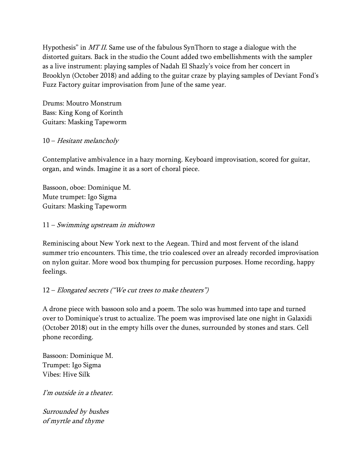Hypothesis" in MT II. Same use of the fabulous SynThorn to stage a dialogue with the distorted guitars. Back in the studio the Count added two embellishments with the sampler as a live instrument: playing samples of Nadah El Shazly's voice from her concert in Brooklyn (October 2018) and adding to the guitar craze by playing samples of Deviant Fond's Fuzz Factory guitar improvisation from June of the same year.

Drums: Moutro Monstrum Bass: King Kong of Korinth Guitars: Masking Tapeworm

### 10 – Hesitant melancholy

Contemplative ambivalence in a hazy morning. Keyboard improvisation, scored for guitar, organ, and winds. Imagine it as a sort of choral piece.

Bassoon, oboe: Dominique M. Mute trumpet: Igo Sigma Guitars: Masking Tapeworm

#### 11 – Swimming upstream in midtown

Reminiscing about New York next to the Aegean. Third and most fervent of the island summer trio encounters. This time, the trio coalesced over an already recorded improvisation on nylon guitar. More wood box thumping for percussion purposes. Home recording, happy feelings.

## $12$  – Elongated secrets ("We cut trees to make theaters")

A drone piece with bassoon solo and a poem. The solo was hummed into tape and turned over to Dominique's trust to actualize. The poem was improvised late one night in Galaxidi (October 2018) out in the empty hills over the dunes, surrounded by stones and stars. Cell phone recording.

Bassoon: Dominique M. Trumpet: Igo Sigma Vibes: Hive Silk

I'm outside in a theater.

Surrounded by bushes of myrtle and thyme